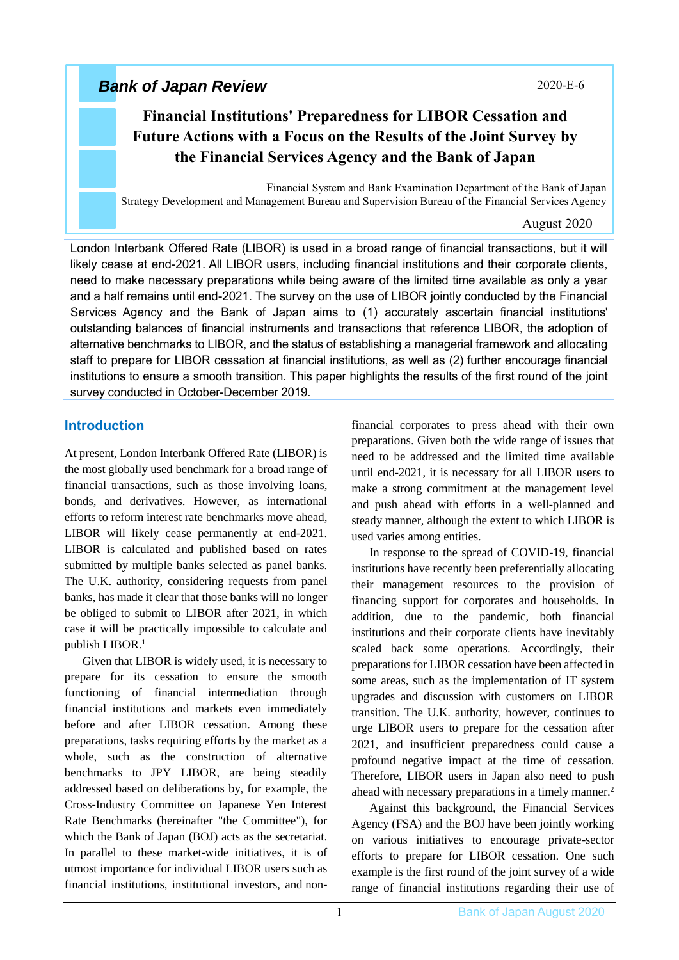## *Bank of Japan Review*

### 2020-E-6

# **Financial Institutions' Preparedness for LIBOR Cessation and Future Actions with a Focus on the Results of the Joint Survey by the Financial Services Agency and the Bank of Japan**

Financial System and Bank Examination Department of the Bank of Japan Strategy Development and Management Bureau and Supervision Bureau of the Financial Services Agency

### August 2020

London Interbank Offered Rate (LIBOR) is used in a broad range of financial transactions, but it will likely cease at end-2021. All LIBOR users, including financial institutions and their corporate clients, need to make necessary preparations while being aware of the limited time available as only a year and a half remains until end-2021. The survey on the use of LIBOR jointly conducted by the Financial Services Agency and the Bank of Japan aims to (1) accurately ascertain financial institutions' outstanding balances of financial instruments and transactions that reference LIBOR, the adoption of alternative benchmarks to LIBOR, and the status of establishing a managerial framework and allocating staff to prepare for LIBOR cessation at financial institutions, as well as (2) further encourage financial institutions to ensure a smooth transition. This paper highlights the results of the first round of the joint survey conducted in October-December 2019.

### **Introduction**

At present, London Interbank Offered Rate (LIBOR) is the most globally used benchmark for a broad range of financial transactions, such as those involving loans, bonds, and derivatives. However, as international efforts to reform interest rate benchmarks move ahead, LIBOR will likely cease permanently at end-2021. LIBOR is calculated and published based on rates submitted by multiple banks selected as panel banks. The U.K. authority, considering requests from panel banks, has made it clear that those banks will no longer be obliged to submit to LIBOR after 2021, in which case it will be practically impossible to calculate and publish LIBOR.<sup>1</sup>

Given that LIBOR is widely used, it is necessary to prepare for its cessation to ensure the smooth functioning of financial intermediation through financial institutions and markets even immediately before and after LIBOR cessation. Among these preparations, tasks requiring efforts by the market as a whole, such as the construction of alternative benchmarks to JPY LIBOR, are being steadily addressed based on deliberations by, for example, the Cross-Industry Committee on Japanese Yen Interest Rate Benchmarks (hereinafter "the Committee"), for which the Bank of Japan (BOJ) acts as the secretariat. In parallel to these market-wide initiatives, it is of utmost importance for individual LIBOR users such as financial institutions, institutional investors, and nonfinancial corporates to press ahead with their own preparations. Given both the wide range of issues that need to be addressed and the limited time available until end-2021, it is necessary for all LIBOR users to make a strong commitment at the management level and push ahead with efforts in a well-planned and steady manner, although the extent to which LIBOR is used varies among entities.

In response to the spread of COVID-19, financial institutions have recently been preferentially allocating their management resources to the provision of financing support for corporates and households. In addition, due to the pandemic, both financial institutions and their corporate clients have inevitably scaled back some operations. Accordingly, their preparations for LIBOR cessation have been affected in some areas, such as the implementation of IT system upgrades and discussion with customers on LIBOR transition. The U.K. authority, however, continues to urge LIBOR users to prepare for the cessation after 2021, and insufficient preparedness could cause a profound negative impact at the time of cessation. Therefore, LIBOR users in Japan also need to push ahead with necessary preparations in a timely manner.<sup>2</sup>

Against this background, the Financial Services Agency (FSA) and the BOJ have been jointly working on various initiatives to encourage private-sector efforts to prepare for LIBOR cessation. One such example is the first round of the joint survey of a wide range of financial institutions regarding their use of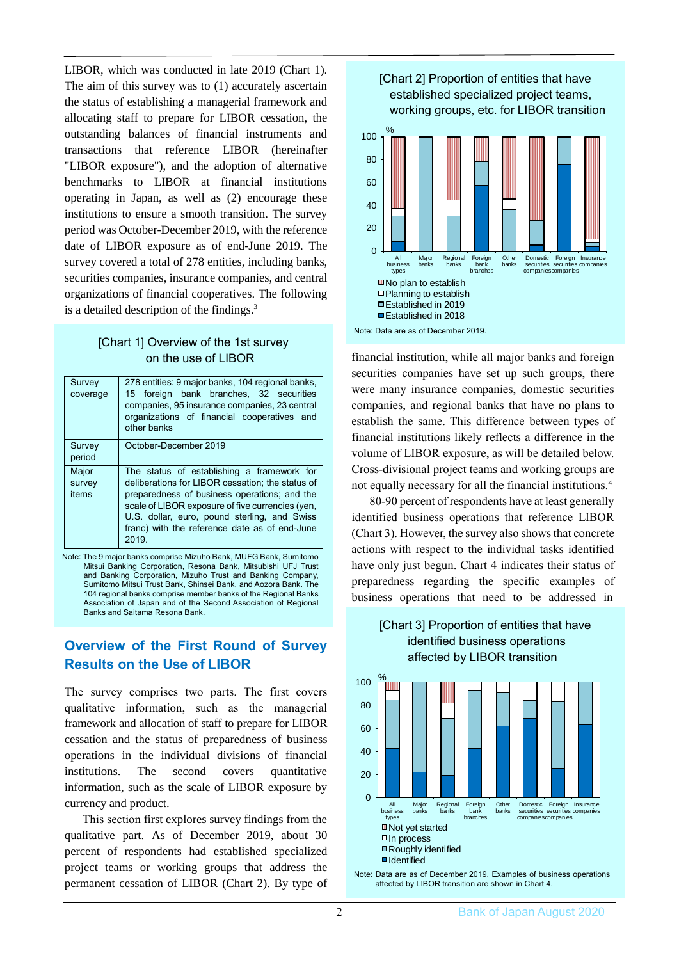LIBOR, which was conducted in late 2019 (Chart 1). The aim of this survey was to (1) accurately ascertain the status of establishing a managerial framework and allocating staff to prepare for LIBOR cessation, the outstanding balances of financial instruments and transactions that reference LIBOR (hereinafter "LIBOR exposure"), and the adoption of alternative benchmarks to LIBOR at financial institutions operating in Japan, as well as (2) encourage these institutions to ensure a smooth transition. The survey period was October-December 2019, with the reference date of LIBOR exposure as of end-June 2019. The survey covered a total of 278 entities, including banks, securities companies, insurance companies, and central organizations of financial cooperatives. The following is a detailed description of the findings.<sup>3</sup>

### [Chart 1] Overview of the 1st survey on the use of LIBOR

| Survey<br>coverage       | 278 entities: 9 major banks, 104 regional banks,<br>15 foreign bank branches, 32 securities<br>companies, 95 insurance companies, 23 central<br>organizations of financial cooperatives and<br>other banks                                                                                                   |  |  |  |  |  |  |
|--------------------------|--------------------------------------------------------------------------------------------------------------------------------------------------------------------------------------------------------------------------------------------------------------------------------------------------------------|--|--|--|--|--|--|
| Survey<br>period         | October-December 2019                                                                                                                                                                                                                                                                                        |  |  |  |  |  |  |
| Major<br>survey<br>items | The status of establishing a framework for<br>deliberations for LIBOR cessation; the status of<br>preparedness of business operations; and the<br>scale of LIBOR exposure of five currencies (yen,<br>U.S. dollar, euro, pound sterling, and Swiss<br>franc) with the reference date as of end-June<br>2019. |  |  |  |  |  |  |

Note: The 9 major banks comprise Mizuho Bank, MUFG Bank, Sumitomo Mitsui Banking Corporation, Resona Bank, Mitsubishi UFJ Trust and Banking Corporation, Mizuho Trust and Banking Company, Sumitomo Mitsui Trust Bank, Shinsei Bank, and Aozora Bank. The 104 regional banks comprise member banks of the Regional Banks Association of Japan and of the Second Association of Regional Banks and Saitama Resona Bank.

### **Overview of the First Round of Survey Results on the Use of LIBOR**

The survey comprises two parts. The first covers qualitative information, such as the managerial framework and allocation of staff to prepare for LIBOR cessation and the status of preparedness of business operations in the individual divisions of financial institutions. The second covers quantitative information, such as the scale of LIBOR exposure by currency and product.

This section first explores survey findings from the qualitative part. As of December 2019, about 30 percent of respondents had established specialized project teams or working groups that address the permanent cessation of LIBOR (Chart 2). By type of



financial institution, while all major banks and foreign securities companies have set up such groups, there were many insurance companies, domestic securities companies, and regional banks that have no plans to establish the same. This difference between types of financial institutions likely reflects a difference in the volume of LIBOR exposure, as will be detailed below. Cross-divisional project teams and working groups are not equally necessary for all the financial institutions. 4

80-90 percent of respondents have at least generally identified business operations that reference LIBOR (Chart 3). However, the survey also shows that concrete actions with respect to the individual tasks identified have only just begun. Chart 4 indicates their status of preparedness regarding the specific examples of business operations that need to be addressed in

### [Chart 3] Proportion of entities that have identified business operations affected by LIBOR transition



Note: Data are as of December 2019. Examples of business operations affected by LIBOR transition are shown in Chart 4.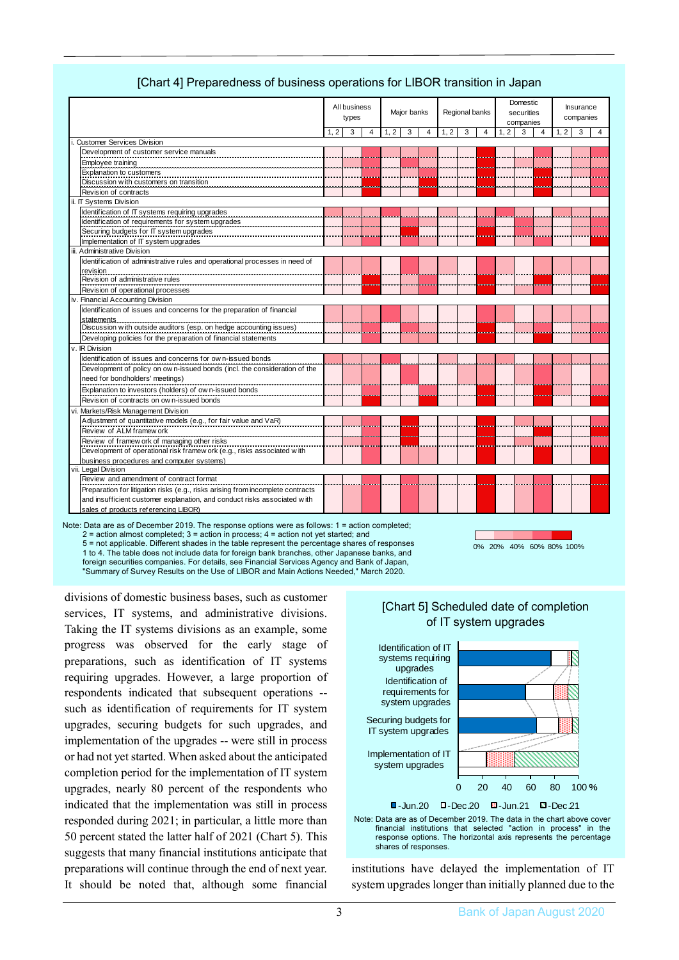|                                   |                                                                                 |     | All business<br>types |                |     | Maior banks |   |      | Regional banks |   |     | Domestic<br>securities<br>companies |  |      | <b>Insurance</b><br>companies |                |  |
|-----------------------------------|---------------------------------------------------------------------------------|-----|-----------------------|----------------|-----|-------------|---|------|----------------|---|-----|-------------------------------------|--|------|-------------------------------|----------------|--|
|                                   |                                                                                 | 1.2 | 3                     | $\overline{4}$ | 1.2 | 3           | 4 | 1, 2 | 3              | 4 | 1.2 | 3                                   |  | 1, 2 | 3                             | $\overline{4}$ |  |
| <b>Customer Services Division</b> |                                                                                 |     |                       |                |     |             |   |      |                |   |     |                                     |  |      |                               |                |  |
|                                   | Development of customer service manuals                                         |     |                       |                |     |             |   |      |                |   |     |                                     |  |      |                               |                |  |
|                                   | Employee training                                                               |     |                       |                |     |             |   |      |                |   |     |                                     |  |      |                               |                |  |
|                                   | <b>Explanation to customers</b>                                                 |     |                       |                |     |             |   |      |                |   |     |                                     |  |      |                               |                |  |
|                                   | Discussion w ith customers on transition                                        |     |                       |                |     |             |   |      |                |   |     |                                     |  |      |                               |                |  |
|                                   | Revision of contracts                                                           |     |                       |                |     |             |   |      |                |   |     |                                     |  |      |                               |                |  |
|                                   | ii. IT Systems Division                                                         |     |                       |                |     |             |   |      |                |   |     |                                     |  |      |                               |                |  |
|                                   | Identification of IT systems requiring upgrades                                 |     |                       |                |     |             |   |      |                |   |     |                                     |  |      |                               |                |  |
|                                   | Identification of requirements for system upgrades                              |     |                       |                |     |             |   |      |                |   |     |                                     |  |      |                               |                |  |
|                                   | Securing budgets for IT system upgrades                                         |     |                       |                |     |             |   |      |                |   |     |                                     |  |      |                               |                |  |
|                                   | Implementation of IT system upgrades                                            |     |                       |                |     |             |   |      |                |   |     |                                     |  |      |                               |                |  |
|                                   | iii. Administrative Division                                                    |     |                       |                |     |             |   |      |                |   |     |                                     |  |      |                               |                |  |
|                                   | Identification of administrative rules and operational processes in need of     |     |                       |                |     |             |   |      |                |   |     |                                     |  |      |                               |                |  |
|                                   | revision                                                                        |     |                       |                |     |             |   |      |                |   |     |                                     |  |      |                               |                |  |
|                                   | Revision of administrative rules                                                |     |                       |                |     |             |   |      |                |   |     |                                     |  |      |                               |                |  |
|                                   | Revision of operational processes                                               |     |                       |                |     |             |   |      |                |   |     |                                     |  |      |                               |                |  |
|                                   | iv. Financial Accounting Division                                               |     |                       |                |     |             |   |      |                |   |     |                                     |  |      |                               |                |  |
|                                   | Identification of issues and concerns for the preparation of financial          |     |                       |                |     |             |   |      |                |   |     |                                     |  |      |                               |                |  |
|                                   | statements.                                                                     |     |                       |                |     |             |   |      |                |   |     |                                     |  |      |                               |                |  |
|                                   | Discussion with outside auditors (esp. on hedge accounting issues)              |     |                       |                |     |             |   |      |                |   |     |                                     |  |      |                               |                |  |
|                                   | Developing policies for the preparation of financial statements                 |     |                       |                |     |             |   |      |                |   |     |                                     |  |      |                               |                |  |
|                                   | v. IR Division                                                                  |     |                       |                |     |             |   |      |                |   |     |                                     |  |      |                               |                |  |
|                                   | Identification of issues and concerns for own-issued bonds                      |     |                       |                |     |             |   |      |                |   |     |                                     |  |      |                               |                |  |
|                                   | Development of policy on own-issued bonds (incl. the consideration of the       |     |                       |                |     |             |   |      |                |   |     |                                     |  |      |                               |                |  |
|                                   | need for bondholders' meetings)                                                 |     |                       |                |     |             |   |      |                |   |     |                                     |  |      |                               |                |  |
|                                   | Explanation to investors (holders) of own-issued bonds                          |     |                       |                |     |             |   |      |                |   |     |                                     |  |      |                               |                |  |
|                                   | Revision of contracts on own-issued bonds                                       |     |                       |                |     |             |   |      |                |   |     |                                     |  |      |                               |                |  |
|                                   | vi. Markets/Risk Management Division                                            |     |                       |                |     |             |   |      |                |   |     |                                     |  |      |                               |                |  |
|                                   | Adjustment of quantitative models (e.g., for fair value and VaR)                |     |                       |                |     |             |   |      |                |   |     |                                     |  |      |                               |                |  |
|                                   | Review of ALM framew ork                                                        |     |                       |                |     |             |   |      |                |   |     |                                     |  |      |                               |                |  |
|                                   | Review of framew ork of managing other risks                                    |     |                       |                |     |             |   |      |                |   |     |                                     |  |      |                               |                |  |
|                                   | Development of operational risk framew ork (e.g., risks associated with         |     |                       |                |     |             |   |      |                |   |     |                                     |  |      |                               |                |  |
|                                   | business procedures and computer systems)                                       |     |                       |                |     |             |   |      |                |   |     |                                     |  |      |                               |                |  |
|                                   | vii. Legal Division                                                             |     |                       |                |     |             |   |      |                |   |     |                                     |  |      |                               |                |  |
|                                   | Review and amendment of contract format                                         |     |                       |                |     |             |   |      |                |   |     |                                     |  |      |                               |                |  |
|                                   | Preparation for litigation risks (e.g., risks arising from incomplete contracts |     |                       |                |     |             |   |      |                |   |     |                                     |  |      |                               |                |  |
|                                   | and insufficient customer explanation, and conduct risks associated with        |     |                       |                |     |             |   |      |                |   |     |                                     |  |      |                               |                |  |
|                                   | sales of products referencing LIBOR)                                            |     |                       |                |     |             |   |      |                |   |     |                                     |  |      |                               |                |  |

### [Chart 4] Preparedness of business operations for LIBOR transition in Japan

Note: Data are as of December 2019. The response options were as follows: 1 = action completed;  $2$  = action almost completed;  $3$  = action in process;  $4$  = action not yet started; and 5 = not applicable. Different shades in the table represent the percentage shares of responses

0% 20% 40% 60% 80% 100%

1 to 4. The table does not include data for foreign bank branches, other Japanese banks, and foreign securities companies. For details, see Financial Services Agency and Bank of Japan, "Summary of Survey Results on the Use of LIBOR and Main Actions Needed," March 2020.

divisions of domestic business bases, such as customer services, IT systems, and administrative divisions. Taking the IT systems divisions as an example, some progress was observed for the early stage of preparations, such as identification of IT systems requiring upgrades. However, a large proportion of respondents indicated that subsequent operations - such as identification of requirements for IT system upgrades, securing budgets for such upgrades, and implementation of the upgrades -- were still in process or had not yet started. When asked about the anticipated completion period for the implementation of IT system upgrades, nearly 80 percent of the respondents who indicated that the implementation was still in process responded during 2021; in particular, a little more than 50 percent stated the latter half of 2021 (Chart 5). This suggests that many financial institutions anticipate that preparations will continue through the end of next year. It should be noted that, although some financial

### [Chart 5] Scheduled date of completion of IT system upgrades



Note: Data are as of December 2019. The data in the chart above cover financial institutions that selected "action in process" in the response options. The horizontal axis represents the percentage shares of responses.

institutions have delayed the implementation of IT system upgrades longer than initially planned due to the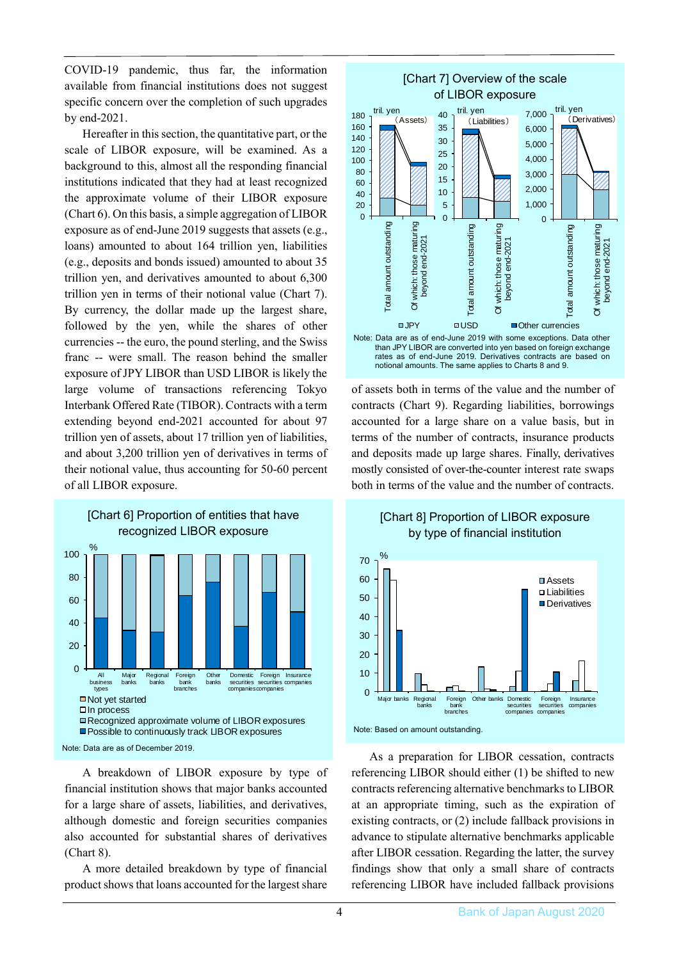COVID-19 pandemic, thus far, the information available from financial institutions does not suggest specific concern over the completion of such upgrades by end-2021.

Hereafter in this section, the quantitative part, or the scale of LIBOR exposure, will be examined. As a background to this, almost all the responding financial institutions indicated that they had at least recognized the approximate volume of their LIBOR exposure (Chart 6). On this basis, a simple aggregation of LIBOR exposure as of end-June 2019 suggests that assets (e.g., loans) amounted to about 164 trillion yen, liabilities (e.g., deposits and bonds issued) amounted to about 35 trillion yen, and derivatives amounted to about 6,300 trillion yen in terms of their notional value (Chart 7). By currency, the dollar made up the largest share, followed by the yen, while the shares of other currencies -- the euro, the pound sterling, and the Swiss franc -- were small. The reason behind the smaller exposure of JPY LIBOR than USD LIBOR is likely the large volume of transactions referencing Tokyo Interbank Offered Rate (TIBOR). Contracts with a term extending beyond end-2021 accounted for about 97 trillion yen of assets, about 17 trillion yen of liabilities, and about 3,200 trillion yen of derivatives in terms of their notional value, thus accounting for 50-60 percent of all LIBOR exposure.



[Chart 6] Proportion of entities that have



A breakdown of LIBOR exposure by type of financial institution shows that major banks accounted for a large share of assets, liabilities, and derivatives, although domestic and foreign securities companies also accounted for substantial shares of derivatives (Chart 8).

A more detailed breakdown by type of financial product shows that loans accounted for the largest share



of assets both in terms of the value and the number of contracts (Chart 9). Regarding liabilities, borrowings accounted for a large share on a value basis, but in terms of the number of contracts, insurance products and deposits made up large shares. Finally, derivatives mostly consisted of over-the-counter interest rate swaps both in terms of the value and the number of contracts.





As a preparation for LIBOR cessation, contracts referencing LIBOR should either (1) be shifted to new contracts referencing alternative benchmarks to LIBOR at an appropriate timing, such as the expiration of existing contracts, or (2) include fallback provisions in advance to stipulate alternative benchmarks applicable after LIBOR cessation. Regarding the latter, the survey findings show that only a small share of contracts referencing LIBOR have included fallback provisions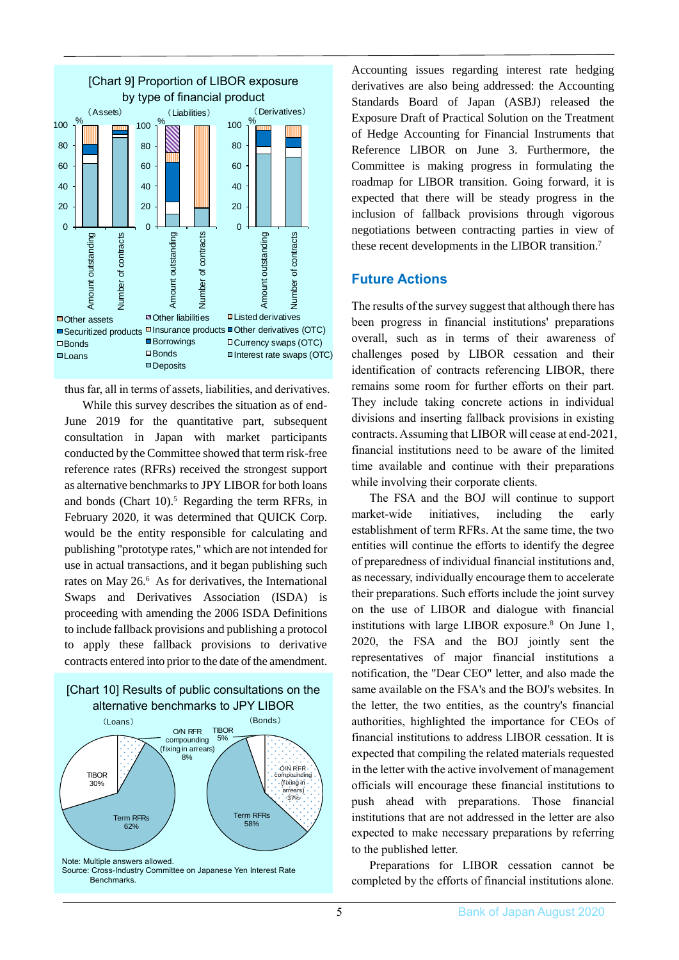

thusfar, all in terms of assets, liabilities, and derivatives.

While this survey describes the situation as of end-June 2019 for the quantitative part, subsequent consultation in Japan with market participants conducted by the Committee showed that term risk-free reference rates (RFRs) received the strongest support as alternative benchmarks to JPY LIBOR for both loans and bonds (Chart 10).<sup>5</sup> Regarding the term RFRs, in February 2020, it was determined that QUICK Corp. would be the entity responsible for calculating and publishing "prototype rates," which are not intended for use in actual transactions, and it began publishing such rates on May 26.<sup>6</sup> As for derivatives, the International Swaps and Derivatives Association (ISDA) is proceeding with amending the 2006 ISDA Definitions to include fallback provisions and publishing a protocol to apply these fallback provisions to derivative contracts entered into prior to the date of the amendment.



Accounting issues regarding interest rate hedging derivatives are also being addressed: the Accounting Standards Board of Japan (ASBJ) released the Exposure Draft of Practical Solution on the Treatment of Hedge Accounting for Financial Instruments that Reference LIBOR on June 3. Furthermore, the Committee is making progress in formulating the roadmap for LIBOR transition. Going forward, it is expected that there will be steady progress in the inclusion of fallback provisions through vigorous negotiations between contracting parties in view of these recent developments in the LIBOR transition.<sup>7</sup>

#### **Future Actions**

The results of the survey suggest that although there has been progress in financial institutions' preparations overall, such as in terms of their awareness of challenges posed by LIBOR cessation and their identification of contracts referencing LIBOR, there remains some room for further efforts on their part. They include taking concrete actions in individual divisions and inserting fallback provisions in existing contracts. Assuming that LIBOR will cease at end-2021, financial institutions need to be aware of the limited time available and continue with their preparations while involving their corporate clients.

The FSA and the BOJ will continue to support market-wide initiatives, including the early establishment of term RFRs. At the same time, the two entities will continue the efforts to identify the degree of preparedness of individual financial institutions and, as necessary, individually encourage them to accelerate their preparations. Such efforts include the joint survey on the use of LIBOR and dialogue with financial institutions with large LIBOR exposure.<sup>8</sup> On June 1, 2020, the FSA and the BOJ jointly sent the representatives of major financial institutions a notification, the "Dear CEO" letter, and also made the same available on the FSA's and the BOJ's websites. In the letter, the two entities, as the country's financial authorities, highlighted the importance for CEOs of financial institutions to address LIBOR cessation. It is expected that compiling the related materials requested in the letter with the active involvement of management officials will encourage these financial institutions to push ahead with preparations. Those financial institutions that are not addressed in the letter are also expected to make necessary preparations by referring to the published letter.

Preparations for LIBOR cessation cannot be completed by the efforts of financial institutions alone.